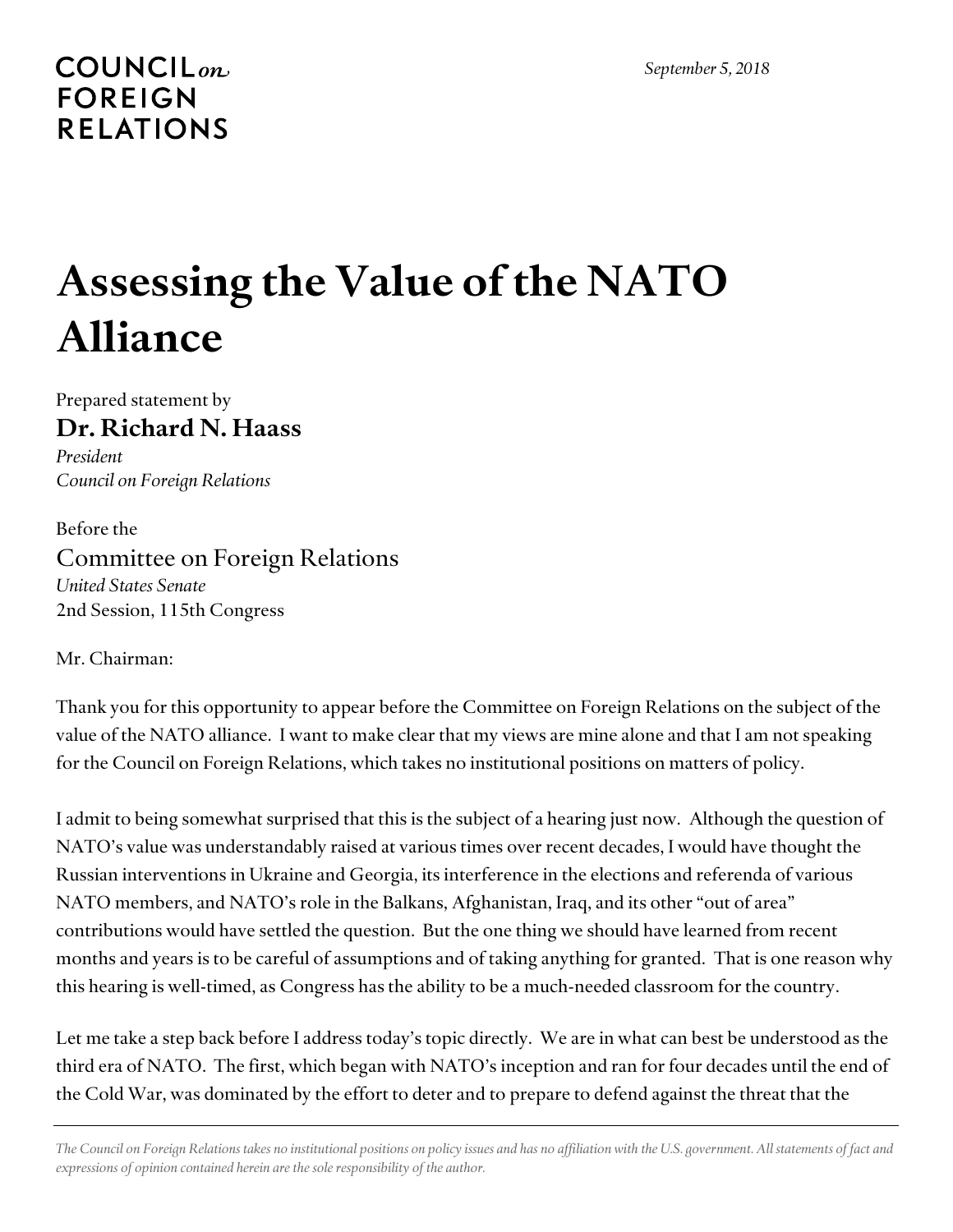## $COUNTLL_{on.}$ **FOREIGN RELATIONS**

## **Assessing the Value of the NATO Alliance**

Prepared statement by **Dr. Richard N. Haass**

*President Council on Foreign Relations*

Before the Committee on Foreign Relations *United States Senate* 2nd Session, 115th Congress

Mr. Chairman:

Thank you for this opportunity to appear before the Committee on Foreign Relations on the subject of the value of the NATO alliance. I want to make clear that my views are mine alone and that I am not speaking for the Council on Foreign Relations, which takes no institutional positions on matters of policy.

I admit to being somewhat surprised that this is the subject of a hearing just now. Although the question of NATO's value was understandably raised at various times over recent decades, I would have thought the Russian interventions in Ukraine and Georgia, its interference in the elections and referenda of various NATO members, and NATO's role in the Balkans, Afghanistan, Iraq, and its other "out of area" contributions would have settled the question. But the one thing we should have learned from recent months and years is to be careful of assumptions and of taking anything for granted. That is one reason why this hearing is well-timed, as Congress has the ability to be a much-needed classroom for the country.

Let me take a step back before I address today's topic directly. We are in what can best be understood as the third era of NATO. The first, which began with NATO's inception and ran for four decades until the end of the Cold War, was dominated by the effort to deter and to prepare to defend against the threat that the

*The Council on Foreign Relations takes no institutional positions on policy issues and has no affiliation with the U.S. government. All statements of fact and expressions of opinion contained herein are the sole responsibility of the author.*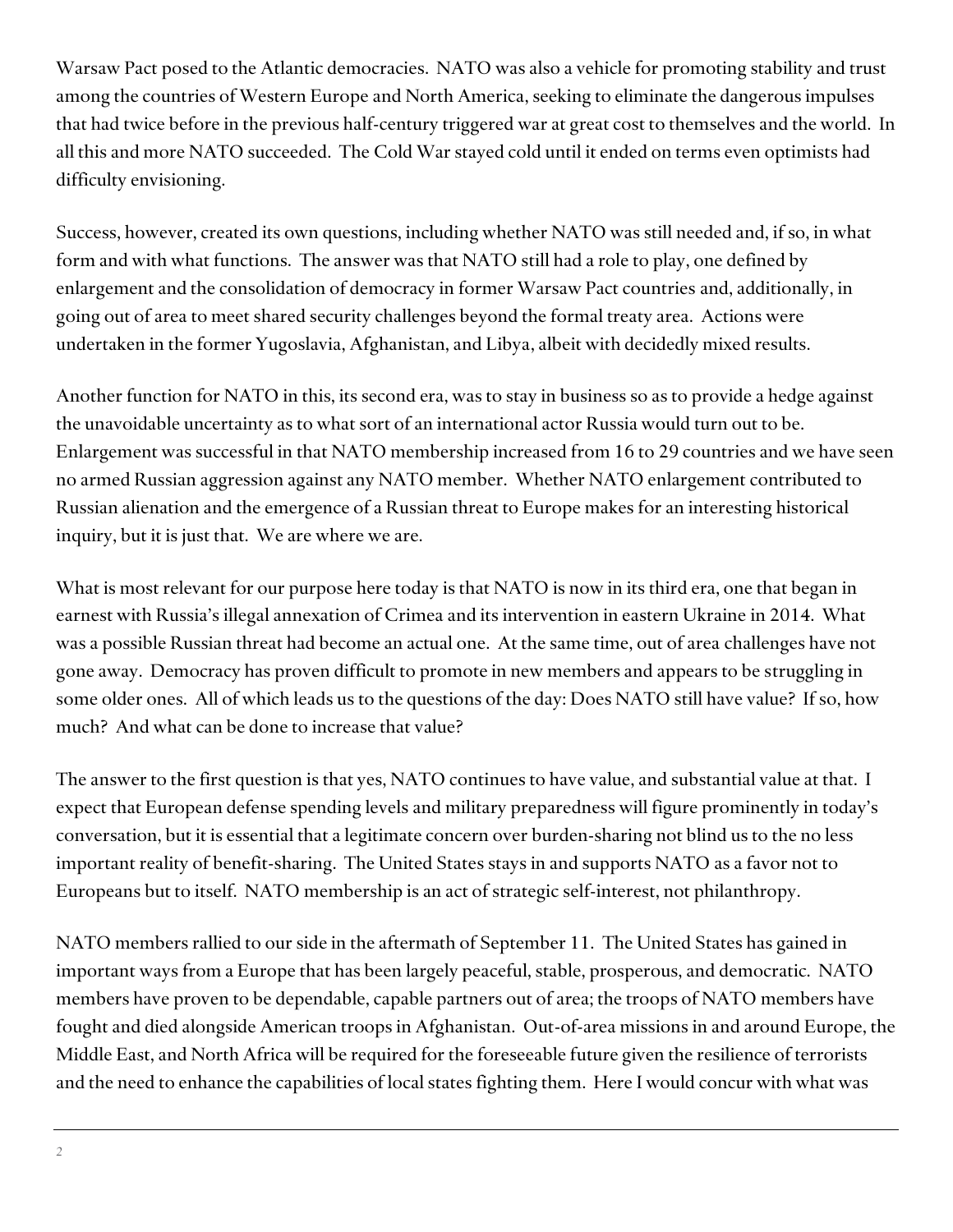Warsaw Pact posed to the Atlantic democracies. NATO was also a vehicle for promoting stability and trust among the countries of Western Europe and North America, seeking to eliminate the dangerous impulses that had twice before in the previous half-century triggered war at great cost to themselves and the world. In all this and more NATO succeeded. The Cold War stayed cold until it ended on terms even optimists had difficulty envisioning.

Success, however, created its own questions, including whether NATO was still needed and, if so, in what form and with what functions. The answer was that NATO still had a role to play, one defined by enlargement and the consolidation of democracy in former Warsaw Pact countries and, additionally, in going out of area to meet shared security challenges beyond the formal treaty area. Actions were undertaken in the former Yugoslavia, Afghanistan, and Libya, albeit with decidedly mixed results.

Another function for NATO in this, its second era, was to stay in business so as to provide a hedge against the unavoidable uncertainty as to what sort of an international actor Russia would turn out to be. Enlargement was successful in that NATO membership increased from 16 to 29 countries and we have seen no armed Russian aggression against any NATO member. Whether NATO enlargement contributed to Russian alienation and the emergence of a Russian threat to Europe makes for an interesting historical inquiry, but it is just that. We are where we are.

What is most relevant for our purpose here today is that NATO is now in its third era, one that began in earnest with Russia's illegal annexation of Crimea and its intervention in eastern Ukraine in 2014. What was a possible Russian threat had become an actual one. At the same time, out of area challenges have not gone away. Democracy has proven difficult to promote in new members and appears to be struggling in some older ones. All of which leads us to the questions of the day: Does NATO still have value? If so, how much? And what can be done to increase that value?

The answer to the first question is that yes, NATO continues to have value, and substantial value at that. I expect that European defense spending levels and military preparedness will figure prominently in today's conversation, but it is essential that a legitimate concern over burden-sharing not blind us to the no less important reality of benefit-sharing. The United States stays in and supports NATO as a favor not to Europeans but to itself. NATO membership is an act of strategic self-interest, not philanthropy.

NATO members rallied to our side in the aftermath of September 11. The United States has gained in important ways from a Europe that has been largely peaceful, stable, prosperous, and democratic. NATO members have proven to be dependable, capable partners out of area; the troops of NATO members have fought and died alongside American troops in Afghanistan. Out-of-area missions in and around Europe, the Middle East, and North Africa will be required for the foreseeable future given the resilience of terrorists and the need to enhance the capabilities of local states fighting them. Here I would concur with what was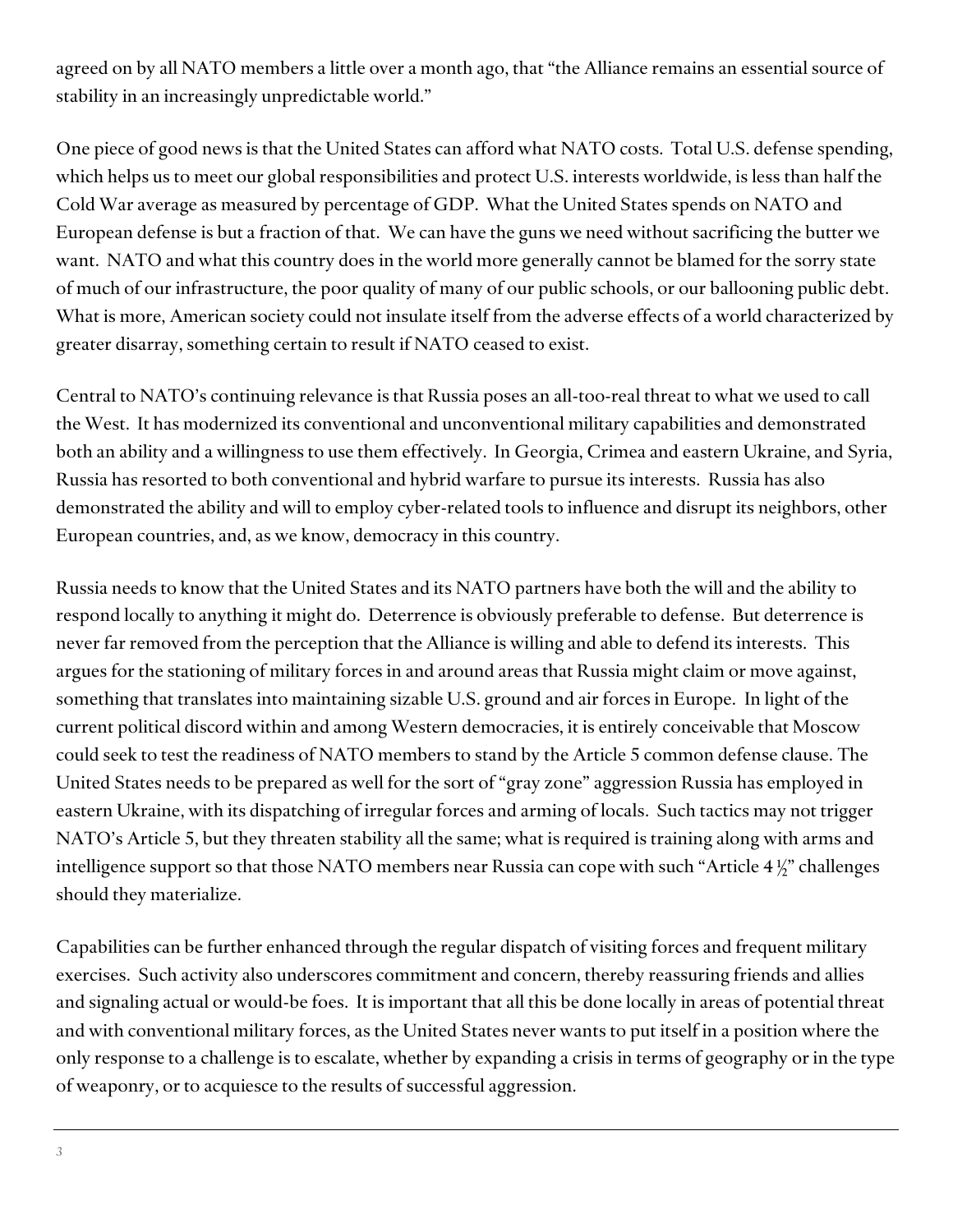agreed on by all NATO members a little over a month ago, that "the Alliance remains an essential source of stability in an increasingly unpredictable world."

One piece of good news is that the United States can afford what NATO costs. Total U.S. defense spending, which helps us to meet our global responsibilities and protect U.S. interests worldwide, is less than half the Cold War average as measured by percentage of GDP. What the United States spends on NATO and European defense is but a fraction of that. We can have the guns we need without sacrificing the butter we want. NATO and what this country does in the world more generally cannot be blamed for the sorry state of much of our infrastructure, the poor quality of many of our public schools, or our ballooning public debt. What is more, American society could not insulate itself from the adverse effects of a world characterized by greater disarray, something certain to result if NATO ceased to exist.

Central to NATO's continuing relevance is that Russia poses an all-too-real threat to what we used to call the West. It has modernized its conventional and unconventional military capabilities and demonstrated both an ability and a willingness to use them effectively. In Georgia, Crimea and eastern Ukraine, and Syria, Russia has resorted to both conventional and hybrid warfare to pursue its interests. Russia has also demonstrated the ability and will to employ cyber-related tools to influence and disrupt its neighbors, other European countries, and, as we know, democracy in this country.

Russia needs to know that the United States and its NATO partners have both the will and the ability to respond locally to anything it might do. Deterrence is obviously preferable to defense. But deterrence is never far removed from the perception that the Alliance is willing and able to defend its interests. This argues for the stationing of military forces in and around areas that Russia might claim or move against, something that translates into maintaining sizable U.S. ground and air forces in Europe. In light of the current political discord within and among Western democracies, it is entirely conceivable that Moscow could seek to test the readiness of NATO members to stand by the Article 5 common defense clause. The United States needs to be prepared as well for the sort of "gray zone" aggression Russia has employed in eastern Ukraine, with its dispatching of irregular forces and arming of locals. Such tactics may not trigger NATO's Article 5, but they threaten stability all the same; what is required is training along with arms and intelligence support so that those NATO members near Russia can cope with such "Article 4 ½" challenges should they materialize.

Capabilities can be further enhanced through the regular dispatch of visiting forces and frequent military exercises. Such activity also underscores commitment and concern, thereby reassuring friends and allies and signaling actual or would-be foes. It is important that all this be done locally in areas of potential threat and with conventional military forces, as the United States never wants to put itself in a position where the only response to a challenge is to escalate, whether by expanding a crisis in terms of geography or in the type of weaponry, or to acquiesce to the results of successful aggression.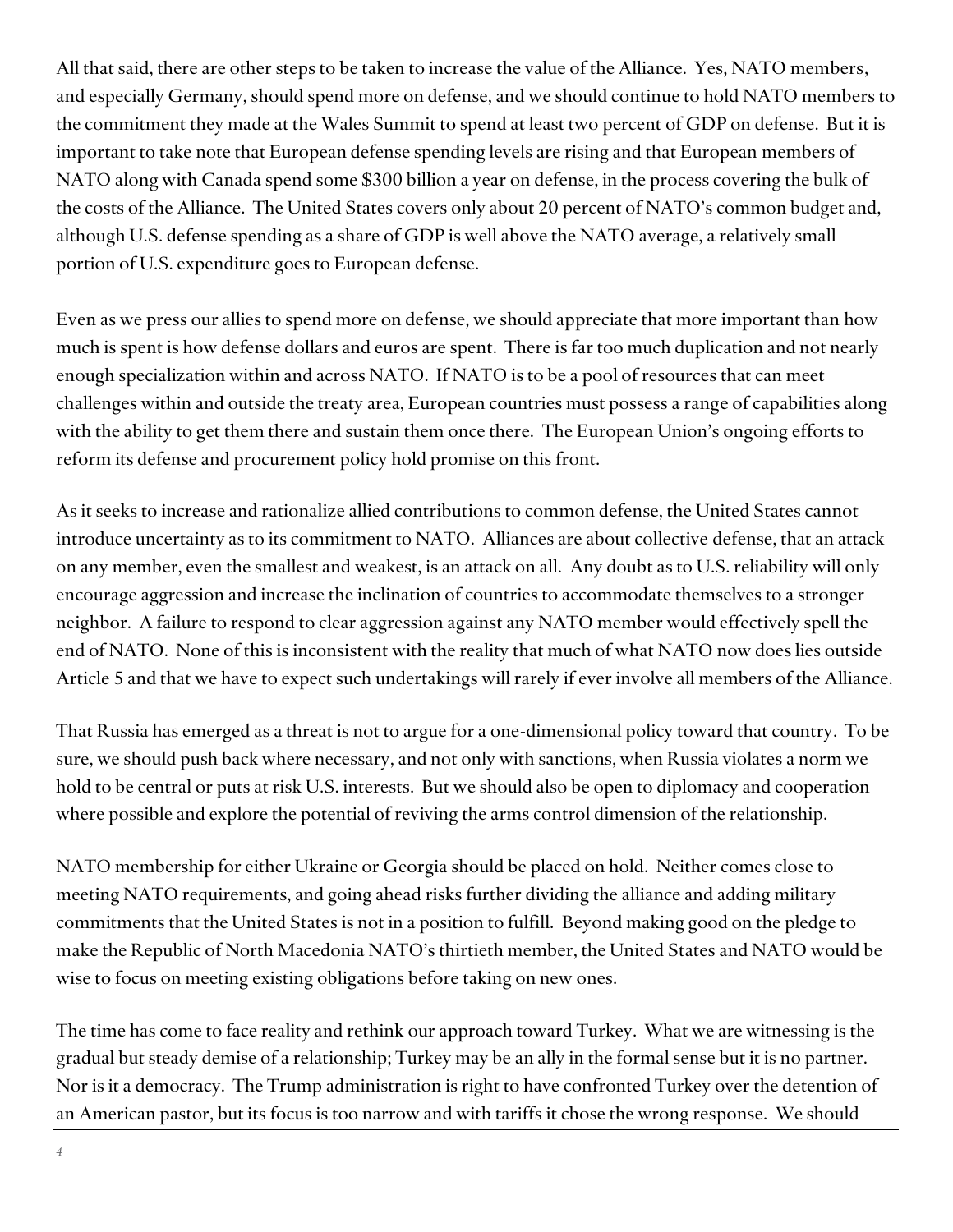All that said, there are other steps to be taken to increase the value of the Alliance. Yes, NATO members, and especially Germany, should spend more on defense, and we should continue to hold NATO members to the commitment they made at the Wales Summit to spend at least two percent of GDP on defense. But it is important to take note that European defense spending levels are rising and that European members of NATO along with Canada spend some \$300 billion a year on defense, in the process covering the bulk of the costs of the Alliance. The United States covers only about 20 percent of NATO's common budget and, although U.S. defense spending as a share of GDP is well above the NATO average, a relatively small portion of U.S. expenditure goes to European defense.

Even as we press our allies to spend more on defense, we should appreciate that more important than how much is spent is how defense dollars and euros are spent. There is far too much duplication and not nearly enough specialization within and across NATO. If NATO is to be a pool of resources that can meet challenges within and outside the treaty area, European countries must possess a range of capabilities along with the ability to get them there and sustain them once there. The European Union's ongoing efforts to reform its defense and procurement policy hold promise on this front.

As it seeks to increase and rationalize allied contributions to common defense, the United States cannot introduce uncertainty as to its commitment to NATO. Alliances are about collective defense, that an attack on any member, even the smallest and weakest, is an attack on all. Any doubt as to U.S. reliability will only encourage aggression and increase the inclination of countries to accommodate themselves to a stronger neighbor. A failure to respond to clear aggression against any NATO member would effectively spell the end of NATO. None of this is inconsistent with the reality that much of what NATO now does lies outside Article 5 and that we have to expect such undertakings will rarely if ever involve all members of the Alliance.

That Russia has emerged as a threat is not to argue for a one-dimensional policy toward that country. To be sure, we should push back where necessary, and not only with sanctions, when Russia violates a norm we hold to be central or puts at risk U.S. interests. But we should also be open to diplomacy and cooperation where possible and explore the potential of reviving the arms control dimension of the relationship.

NATO membership for either Ukraine or Georgia should be placed on hold. Neither comes close to meeting NATO requirements, and going ahead risks further dividing the alliance and adding military commitments that the United States is not in a position to fulfill. Beyond making good on the pledge to make the Republic of North Macedonia NATO's thirtieth member, the United States and NATO would be wise to focus on meeting existing obligations before taking on new ones.

The time has come to face reality and rethink our approach toward Turkey. What we are witnessing is the gradual but steady demise of a relationship; Turkey may be an ally in the formal sense but it is no partner. Nor is it a democracy. The Trump administration is right to have confronted Turkey over the detention of an American pastor, but its focus is too narrow and with tariffs it chose the wrong response. We should